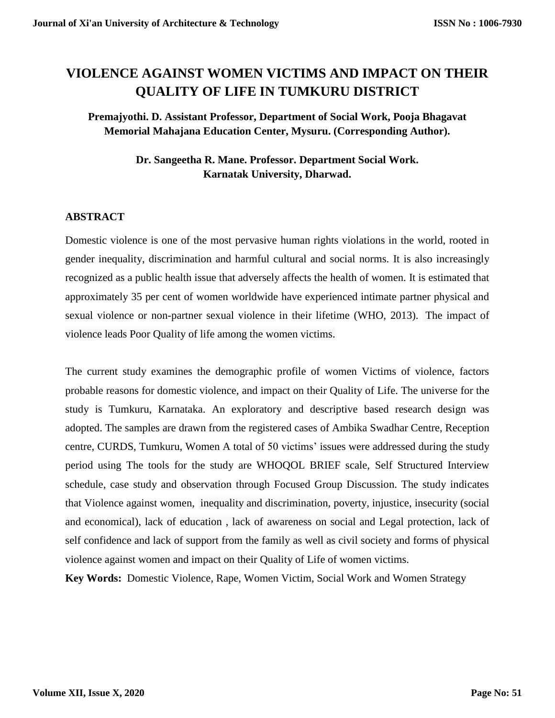# **VIOLENCE AGAINST WOMEN VICTIMS AND IMPACT ON THEIR QUALITY OF LIFE IN TUMKURU DISTRICT**

# **Premajyothi. D. Assistant Professor, Department of Social Work, Pooja Bhagavat Memorial Mahajana Education Center, Mysuru. (Corresponding Author).**

# **Dr. Sangeetha R. Mane. Professor. Department Social Work. Karnatak University, Dharwad.**

# **ABSTRACT**

Domestic violence is one of the most pervasive human rights violations in the world, rooted in gender inequality, discrimination and harmful cultural and social norms. It is also increasingly recognized as a public health issue that adversely affects the health of women. It is estimated that approximately 35 per cent of women worldwide have experienced intimate partner physical and sexual violence or non-partner sexual violence in their lifetime (WHO, 2013). The impact of violence leads Poor Quality of life among the women victims.

The current study examines the demographic profile of women Victims of violence, factors probable reasons for domestic violence, and impact on their Quality of Life. The universe for the study is Tumkuru, Karnataka. An exploratory and descriptive based research design was adopted. The samples are drawn from the registered cases of Ambika Swadhar Centre, Reception centre, CURDS, Tumkuru, Women A total of 50 victims' issues were addressed during the study period using The tools for the study are WHOQOL BRIEF scale, Self Structured Interview schedule, case study and observation through Focused Group Discussion. The study indicates that Violence against women, inequality and discrimination, poverty, injustice, insecurity (social and economical), lack of education , lack of awareness on social and Legal protection, lack of self confidence and lack of support from the family as well as civil society and forms of physical violence against women and impact on their Quality of Life of women victims.

**Key Words:** Domestic Violence, Rape, Women Victim, Social Work and Women Strategy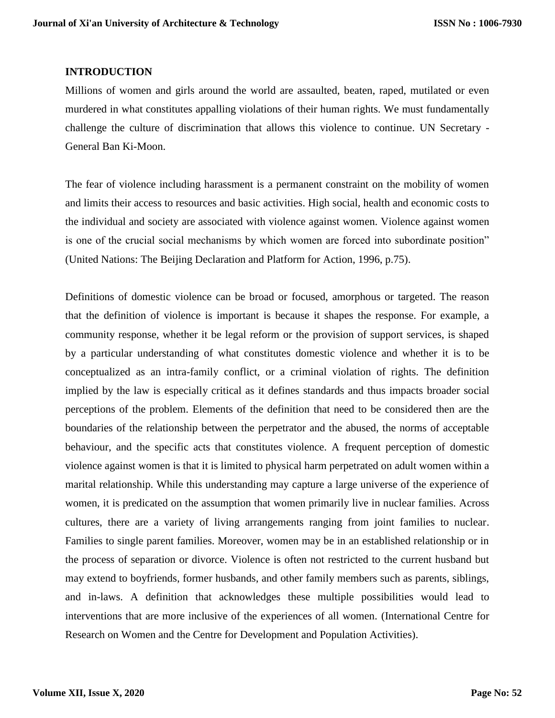#### **INTRODUCTION**

Millions of women and girls around the world are assaulted, beaten, raped, mutilated or even murdered in what constitutes appalling violations of their human rights. We must fundamentally challenge the culture of discrimination that allows this violence to continue. UN Secretary - General Ban Ki-Moon.

The fear of violence including harassment is a permanent constraint on the mobility of women and limits their access to resources and basic activities. High social, health and economic costs to the individual and society are associated with violence against women. Violence against women is one of the crucial social mechanisms by which women are forced into subordinate position" (United Nations: The Beijing Declaration and Platform for Action, 1996, p.75).

Definitions of domestic violence can be broad or focused, amorphous or targeted. The reason that the definition of violence is important is because it shapes the response. For example, a community response, whether it be legal reform or the provision of support services, is shaped by a particular understanding of what constitutes domestic violence and whether it is to be conceptualized as an intra-family conflict, or a criminal violation of rights. The definition implied by the law is especially critical as it defines standards and thus impacts broader social perceptions of the problem. Elements of the definition that need to be considered then are the boundaries of the relationship between the perpetrator and the abused, the norms of acceptable behaviour, and the specific acts that constitutes violence. A frequent perception of domestic violence against women is that it is limited to physical harm perpetrated on adult women within a marital relationship. While this understanding may capture a large universe of the experience of women, it is predicated on the assumption that women primarily live in nuclear families. Across cultures, there are a variety of living arrangements ranging from joint families to nuclear. Families to single parent families. Moreover, women may be in an established relationship or in the process of separation or divorce. Violence is often not restricted to the current husband but may extend to boyfriends, former husbands, and other family members such as parents, siblings, and in-laws. A definition that acknowledges these multiple possibilities would lead to interventions that are more inclusive of the experiences of all women. (International Centre for Research on Women and the Centre for Development and Population Activities).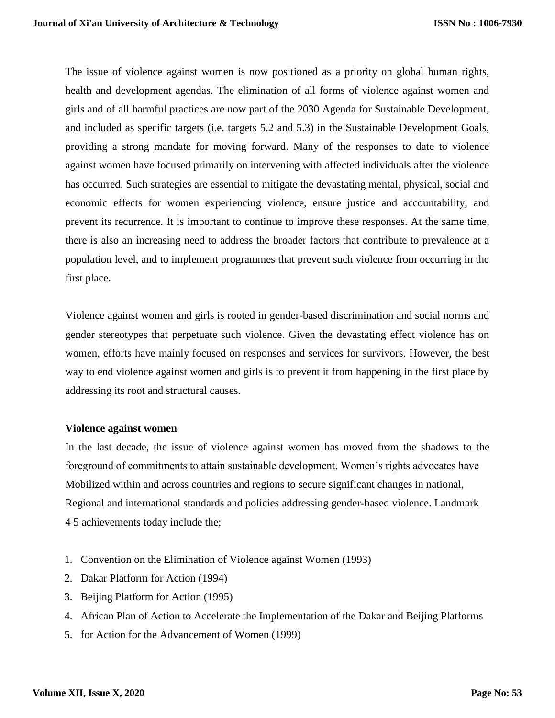The issue of violence against women is now positioned as a priority on global human rights, health and development agendas. The elimination of all forms of violence against women and girls and of all harmful practices are now part of the 2030 Agenda for Sustainable Development, and included as specific targets (i.e. targets 5.2 and 5.3) in the Sustainable Development Goals, providing a strong mandate for moving forward. Many of the responses to date to violence against women have focused primarily on intervening with affected individuals after the violence has occurred. Such strategies are essential to mitigate the devastating mental, physical, social and economic effects for women experiencing violence, ensure justice and accountability, and prevent its recurrence. It is important to continue to improve these responses. At the same time, there is also an increasing need to address the broader factors that contribute to prevalence at a population level, and to implement programmes that prevent such violence from occurring in the first place.

Violence against women and girls is rooted in gender-based discrimination and social norms and gender stereotypes that perpetuate such violence. Given the devastating effect violence has on women, efforts have mainly focused on responses and services for survivors. However, the best way to end violence against women and girls is to prevent it from happening in the first place by addressing its root and structural causes.

#### **Violence against women**

In the last decade, the issue of violence against women has moved from the shadows to the foreground of commitments to attain sustainable development. Women's rights advocates have Mobilized within and across countries and regions to secure significant changes in national, Regional and international standards and policies addressing gender-based violence. Landmark 4 5 achievements today include the;

- 1. Convention on the Elimination of Violence against Women (1993)
- 2. Dakar Platform for Action (1994)
- 3. Beijing Platform for Action (1995)
- 4. African Plan of Action to Accelerate the Implementation of the Dakar and Beijing Platforms
- 5. for Action for the Advancement of Women (1999)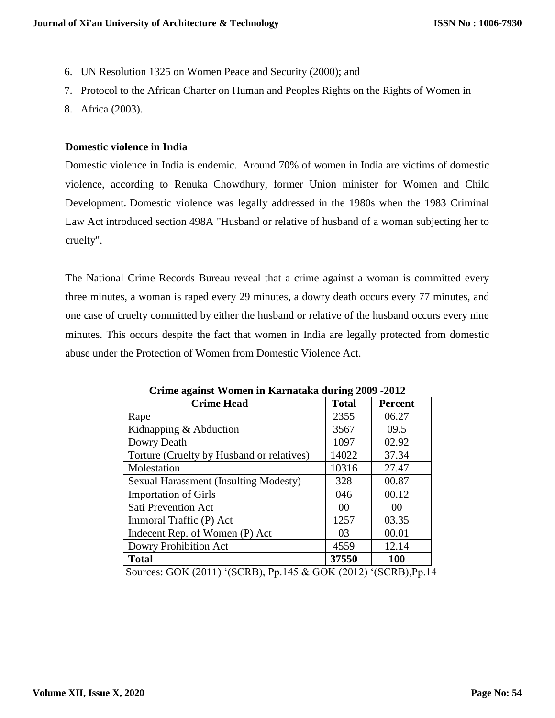- 6. UN Resolution 1325 on Women Peace and Security (2000); and
- 7. Protocol to the African Charter on Human and Peoples Rights on the Rights of Women in
- 8. Africa (2003).

### **[Domestic violence in India](https://en.wikipedia.org/wiki/Domestic_violence_in_India)**

[Domestic violence in India](https://en.wikipedia.org/wiki/Domestic_violence_in_India) is endemic. Around 70% of women in India are victims of domestic violence, according to [Renuka Chowdhury,](https://en.wikipedia.org/wiki/Renuka_Chowdhury) former Union minister for Women and Child Development. Domestic violence was legally addressed in the 1980s when the 1983 Criminal Law Act introduced [section 498A](https://en.wikipedia.org/w/index.php?title=Chapters_XX_and_XXA_of_the_Indian_Penal_Code&action=edit&redlink=1) "Husband or relative of husband of a woman subjecting her to cruelty".

The National Crime Records Bureau reveal that a crime against a woman is committed every three minutes, a woman is raped every 29 minutes, a [dowry](https://en.wikipedia.org/wiki/Dowry) death occurs every 77 minutes, and one case of cruelty committed by either the husband or relative of the husband occurs every nine minutes. This occurs despite the fact that women in India are legally protected from domestic abuse under the [Protection of Women from Domestic Violence Act.](https://en.wikipedia.org/wiki/Protection_of_Women_from_Domestic_Violence_Act_2005)

| <b>Crime Head</b>                         | <b>Total</b>   | <b>Percent</b>  |
|-------------------------------------------|----------------|-----------------|
| Rape                                      | 2355           | 06.27           |
| Kidnapping & Abduction                    | 3567           | 09.5            |
| Dowry Death                               | 1097           | 02.92           |
| Torture (Cruelty by Husband or relatives) | 14022          | 37.34           |
| Molestation                               | 10316          | 27.47           |
| Sexual Harassment (Insulting Modesty)     | 328            | 00.87           |
| <b>Importation of Girls</b>               | 046            | 00.12           |
| <b>Sati Prevention Act</b>                | 0 <sup>0</sup> | 00 <sup>1</sup> |
| Immoral Traffic (P) Act                   | 1257           | 03.35           |
| Indecent Rep. of Women (P) Act            | 03             | 00.01           |
| Dowry Prohibition Act                     | 4559           | 12.14           |
| <b>Total</b>                              | 37550          | 100             |

**Crime against Women in Karnataka during 2009 -2012**

Sources: GOK (2011) '(SCRB), Pp.145 & GOK (2012) '(SCRB),Pp.14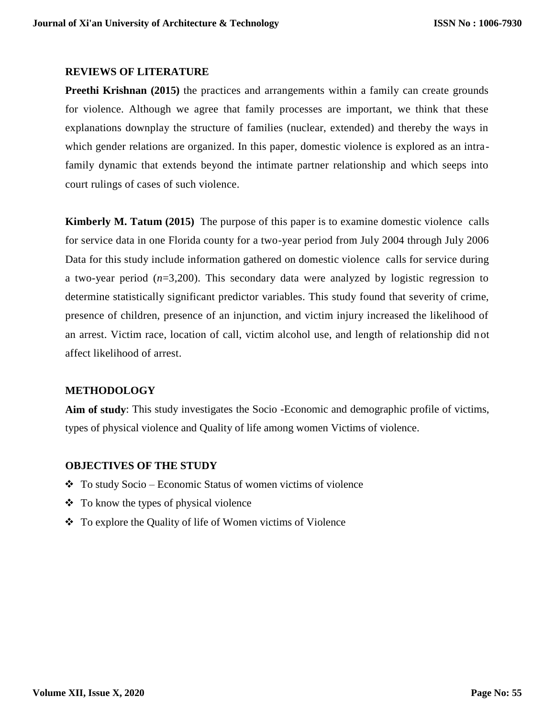#### **REVIEWS OF LITERATURE**

**Preethi Krishnan (2015)** the practices and arrangements within a family can create grounds for violence. Although we agree that family processes are important, we think that these explanations downplay the structure of families (nuclear, extended) and thereby the ways in which gender relations are organized. In this paper, domestic violence is explored as an intrafamily dynamic that extends beyond the intimate partner relationship and which seeps into court rulings of cases of such violence.

**[Kimberly M. Tatum](https://www.emeraldinsight.com/author/Tatum%2C+Kimberly+M) (2015)** The purpose of this paper is to examine domestic violence calls for service data in one Florida county for a two-year period from July 2004 through July 2006 Data for this study include information gathered on domestic violence calls for service during a two-year period (*n*=3,200). This secondary data were analyzed by logistic regression to determine statistically significant predictor variables. This study found that severity of crime, presence of children, presence of an injunction, and victim injury increased the likelihood of an arrest. Victim race, location of call, victim alcohol use, and length of relationship did not affect likelihood of arrest.

#### **METHODOLOGY**

**Aim of study**: This study investigates the Socio -Economic and demographic profile of victims, types of physical violence and Quality of life among women Victims of violence.

#### **OBJECTIVES OF THE STUDY**

- $\triangle$  To study Socio Economic Status of women victims of violence
- $\triangleleft$  To know the types of physical violence
- To explore the Quality of life of Women victims of Violence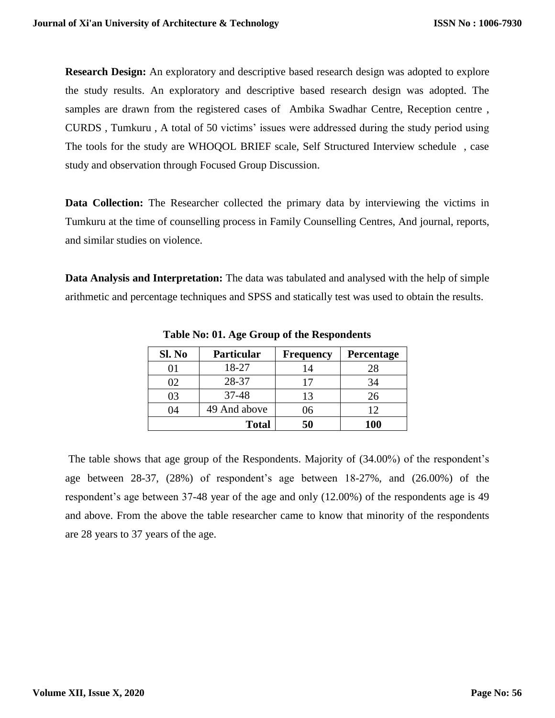**Research Design:** An exploratory and descriptive based research design was adopted to explore the study results. An exploratory and descriptive based research design was adopted. The samples are drawn from the registered cases of Ambika Swadhar Centre, Reception centre , CURDS , Tumkuru , A total of 50 victims' issues were addressed during the study period using The tools for the study are WHOQOL BRIEF scale, Self Structured Interview schedule , case study and observation through Focused Group Discussion.

**Data Collection:** The Researcher collected the primary data by interviewing the victims in Tumkuru at the time of counselling process in Family Counselling Centres, And journal, reports, and similar studies on violence.

**Data Analysis and Interpretation:** The data was tabulated and analysed with the help of simple arithmetic and percentage techniques and SPSS and statically test was used to obtain the results.

| Sl. No | <b>Particular</b> | <b>Frequency</b> | Percentage |
|--------|-------------------|------------------|------------|
|        | 18-27             | 14               | 28         |
| 02     | 28-37             | 17               | 34         |
| 03     | $37 - 48$         | 13               | 26         |
| 04     | 49 And above      | 06               | 12         |
|        | <b>Total</b>      | 50               | <b>100</b> |

**Table No: 01. Age Group of the Respondents**

The table shows that age group of the Respondents. Majority of (34.00%) of the respondent's age between 28-37, (28%) of respondent's age between 18-27%, and (26.00%) of the respondent's age between 37-48 year of the age and only (12.00%) of the respondents age is 49 and above. From the above the table researcher came to know that minority of the respondents are 28 years to 37 years of the age.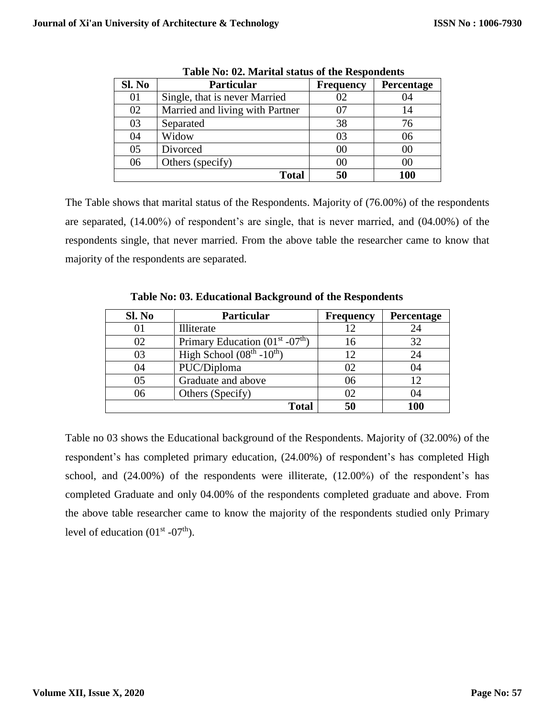| Sl. No | <b>Particular</b>               | <b>Frequency</b> | Percentage |
|--------|---------------------------------|------------------|------------|
| 01     | Single, that is never Married   | 02               | 04         |
| 02     | Married and living with Partner | 07               | 14         |
| 03     | Separated                       | 38               | 76         |
| 04     | Widow                           | 03               | 06         |
| 05     | Divorced                        | 00               | 00         |
| 06     | Others (specify)                | 00               | 00         |
|        | <b>Total</b>                    | 50               | 100        |

**Table No: 02. Marital status of the Respondents**

The Table shows that marital status of the Respondents. Majority of (76.00%) of the respondents are separated, (14.00%) of respondent's are single, that is never married, and (04.00%) of the respondents single, that never married. From the above table the researcher came to know that majority of the respondents are separated.

| Sl. No | <b>Particular</b>                 | <b>Frequency</b> | <b>Percentage</b> |
|--------|-----------------------------------|------------------|-------------------|
|        | Illiterate                        |                  |                   |
| 02     | Primary Education $(01st - 07th)$ | 16               | 32                |
| 03     | High School $(08th - 10th)$       | 12               | 24                |
|        |                                   |                  |                   |
| 04     | PUC/Diploma                       | 02               | 04                |
| 05     | Graduate and above                | 06               | 12.               |
| 06     | Others (Specify)                  |                  | 04                |
|        | <b>Total</b>                      |                  | 100               |

**Table No: 03. Educational Background of the Respondents**

Table no 03 shows the Educational background of the Respondents. Majority of (32.00%) of the respondent's has completed primary education, (24.00%) of respondent's has completed High school, and (24.00%) of the respondents were illiterate, (12.00%) of the respondent's has completed Graduate and only 04.00% of the respondents completed graduate and above. From the above table researcher came to know the majority of the respondents studied only Primary level of education  $(01<sup>st</sup> - 07<sup>th</sup>)$ .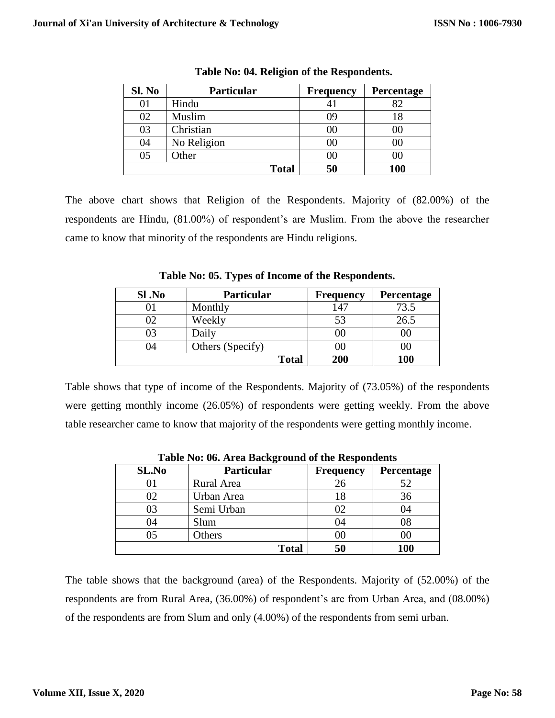| Sl. No | <b>Particular</b> | <b>Frequency</b> | Percentage |
|--------|-------------------|------------------|------------|
|        | Hindu             |                  | 82         |
| 02     | Muslim            | 09               | 18         |
| 03     | Christian         | 00               | 00         |
| 04     | No Religion       | OΟ               | OC)        |
| 05     | <b>Other</b>      | 00               | 00         |
|        | <b>Total</b>      | 50               | 100        |

**Table No: 04. Religion of the Respondents.**

The above chart shows that Religion of the Respondents. Majority of (82.00%) of the respondents are Hindu, (81.00%) of respondent's are Muslim. From the above the researcher came to know that minority of the respondents are Hindu religions.

| $SI$ . No | <b>Particular</b> | <b>Frequency</b> | Percentage |
|-----------|-------------------|------------------|------------|
|           | Monthly           | 147              | 73.5       |
| )2        | Weekly            | 53               | 26.5       |
| )3        | Daily             | DO.              |            |
| 04        | Others (Specify)  | OO.              |            |
|           | <b>Total</b>      | 200              | 100        |

**Table No: 05. Types of Income of the Respondents.**

Table shows that type of income of the Respondents. Majority of (73.05%) of the respondents were getting monthly income (26.05%) of respondents were getting weekly. From the above table researcher came to know that majority of the respondents were getting monthly income.

| $\sim$ 0.000 $\sim$ 0.000 $\sim$ 0.000 $\sim$ 0.000 $\sim$ 0.000 $\sim$ 0.000 $\sim$ 0.000 $\sim$ 0.000 $\sim$ 0.000 $\sim$ 0.000 $\sim$ 0.000 $\sim$ 0.000 $\sim$ 0.000 $\sim$ 0.000 $\sim$ 0.000 $\sim$ 0.000 $\sim$ 0.000 $\sim$ 0.000 $\sim$ 0.000 $\sim$ 0.000 |                                       |        |            |  |  |
|---------------------------------------------------------------------------------------------------------------------------------------------------------------------------------------------------------------------------------------------------------------------|---------------------------------------|--------|------------|--|--|
| SL.No                                                                                                                                                                                                                                                               | <b>Particular</b><br><b>Frequency</b> |        | Percentage |  |  |
| 01                                                                                                                                                                                                                                                                  | Rural Area                            | 26     |            |  |  |
| 02                                                                                                                                                                                                                                                                  | Urban Area                            | 18     |            |  |  |
| 03                                                                                                                                                                                                                                                                  | Semi Urban                            | 02     | 11         |  |  |
| 04                                                                                                                                                                                                                                                                  | Slum                                  | 04     |            |  |  |
| 05                                                                                                                                                                                                                                                                  | Others                                | $00\,$ |            |  |  |
|                                                                                                                                                                                                                                                                     | <b>Total</b>                          | 50     | 100        |  |  |

**Table No: 06. Area Background of the Respondents**

The table shows that the background (area) of the Respondents. Majority of (52.00%) of the respondents are from Rural Area, (36.00%) of respondent's are from Urban Area, and (08.00%) of the respondents are from Slum and only (4.00%) of the respondents from semi urban.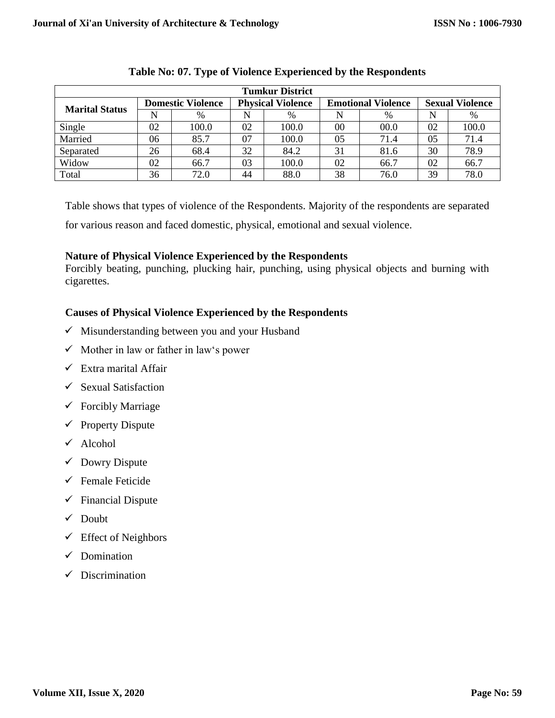| <b>Tumkur District</b> |                          |       |                          |       |                           |      |                        |       |
|------------------------|--------------------------|-------|--------------------------|-------|---------------------------|------|------------------------|-------|
| <b>Marital Status</b>  | <b>Domestic Violence</b> |       | <b>Physical Violence</b> |       | <b>Emotional Violence</b> |      | <b>Sexual Violence</b> |       |
|                        | N                        | %     |                          | %     | N                         | $\%$ | N                      | %     |
| Single                 | 02                       | 100.0 | 02                       | 100.0 | 00                        | 00.0 | 02                     | 100.0 |
| Married                | 06                       | 85.7  | 07                       | 100.0 | 0 <sub>5</sub>            | 71.4 | 05                     | 71.4  |
| Separated              | 26                       | 68.4  | 32                       | 84.2  | 31                        | 81.6 | 30                     | 78.9  |
| Widow                  | 02                       | 66.7  | 03                       | 100.0 | 02                        | 66.7 | 02                     | 66.7  |
| Total                  | 36                       | 72.0  | 44                       | 88.0  | 38                        | 76.0 | 39                     | 78.0  |

#### **Table No: 07. Type of Violence Experienced by the Respondents**

Table shows that types of violence of the Respondents. Majority of the respondents are separated

for various reason and faced domestic, physical, emotional and sexual violence.

# **Nature of Physical Violence Experienced by the Respondents**

Forcibly beating, punching, plucking hair, punching, using physical objects and burning with cigarettes.

# **Causes of Physical Violence Experienced by the Respondents**

- $\checkmark$  Misunderstanding between you and your Husband
- $\checkmark$  Mother in law or father in law's power
- $\checkmark$  Extra marital Affair
- $\checkmark$  Sexual Satisfaction
- $\checkmark$  Forcibly Marriage
- $\checkmark$  Property Dispute
- $\checkmark$  Alcohol
- $\checkmark$  Dowry Dispute
- $\checkmark$  Female Feticide
- $\checkmark$  Financial Dispute
- $\checkmark$  Doubt
- $\checkmark$  Effect of Neighbors
- $\checkmark$  Domination
- $\checkmark$  Discrimination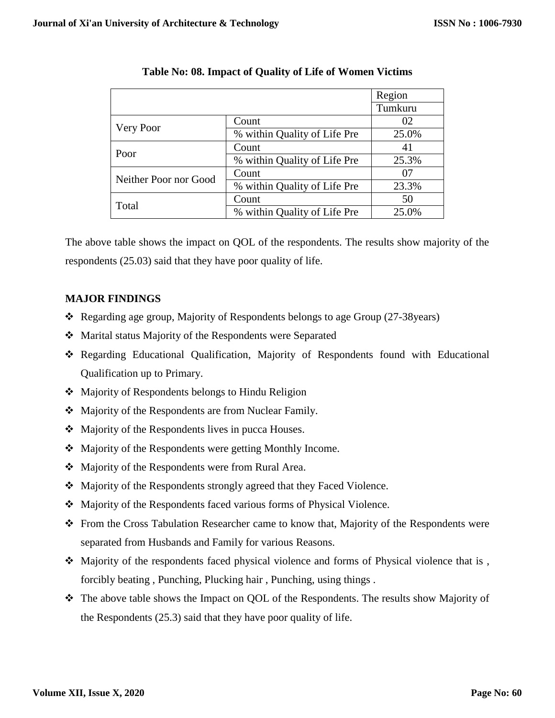|                       |                              | Region  |
|-----------------------|------------------------------|---------|
|                       |                              | Tumkuru |
|                       | Count                        | 02      |
| Very Poor             | % within Quality of Life Pre | 25.0%   |
| Poor                  | Count                        | 41      |
|                       | % within Quality of Life Pre | 25.3%   |
| Neither Poor nor Good | Count                        | 07      |
|                       | % within Quality of Life Pre | 23.3%   |
| Total                 | Count                        | 50      |
|                       | % within Quality of Life Pre | 25.0%   |

#### **Table No: 08. Impact of Quality of Life of Women Victims**

The above table shows the impact on QOL of the respondents. The results show majority of the respondents (25.03) said that they have poor quality of life.

# **MAJOR FINDINGS**

- Regarding age group, Majority of Respondents belongs to age Group (27-38years)
- Marital status Majority of the Respondents were Separated
- Regarding Educational Qualification, Majority of Respondents found with Educational Qualification up to Primary.
- ❖ Majority of Respondents belongs to Hindu Religion
- Majority of the Respondents are from Nuclear Family.
- Majority of the Respondents lives in pucca Houses.
- Majority of the Respondents were getting Monthly Income.
- ❖ Majority of the Respondents were from Rural Area.
- Majority of the Respondents strongly agreed that they Faced Violence.
- Majority of the Respondents faced various forms of Physical Violence.
- From the Cross Tabulation Researcher came to know that, Majority of the Respondents were separated from Husbands and Family for various Reasons.
- $\triangleleft$  Majority of the respondents faced physical violence and forms of Physical violence that is, forcibly beating , Punching, Plucking hair , Punching, using things .
- The above table shows the Impact on QOL of the Respondents. The results show Majority of the Respondents (25.3) said that they have poor quality of life.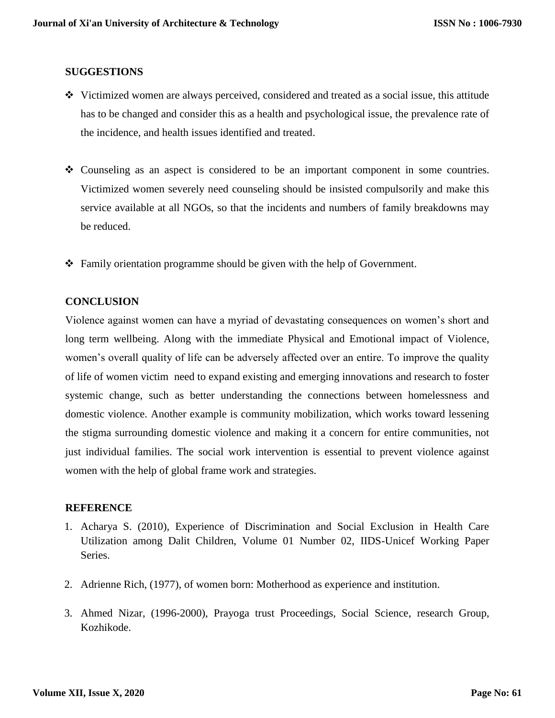# **SUGGESTIONS**

- $\bullet\bullet\text{ Victimized women are always perceived, considered and treated as a social issue, this attitude}$ has to be changed and consider this as a health and psychological issue, the prevalence rate of the incidence, and health issues identified and treated.
- $\div$  Counseling as an aspect is considered to be an important component in some countries. Victimized women severely need counseling should be insisted compulsorily and make this service available at all NGOs, so that the incidents and numbers of family breakdowns may be reduced.
- Family orientation programme should be given with the help of Government.

# **CONCLUSION**

Violence against women can have a myriad of devastating consequences on women's short and long term wellbeing. Along with the immediate Physical and Emotional impact of Violence, women's overall quality of life can be adversely affected over an entire. To improve the quality of life of women victim need to expand existing and emerging innovations and research to foster systemic change, such as better understanding the connections between homelessness and domestic violence. Another example is community mobilization, which works toward lessening the stigma surrounding domestic violence and making it a concern for entire communities, not just individual families. The social work intervention is essential to prevent violence against women with the help of global frame work and strategies.

#### **REFERENCE**

- 1. Acharya S. (2010), Experience of Discrimination and Social Exclusion in Health Care Utilization among Dalit Children, Volume 01 Number 02, IIDS-Unicef Working Paper Series.
- 2. Adrienne Rich, (1977), of women born: Motherhood as experience and institution.
- 3. Ahmed Nizar, (1996-2000), Prayoga trust Proceedings, Social Science, research Group, Kozhikode.